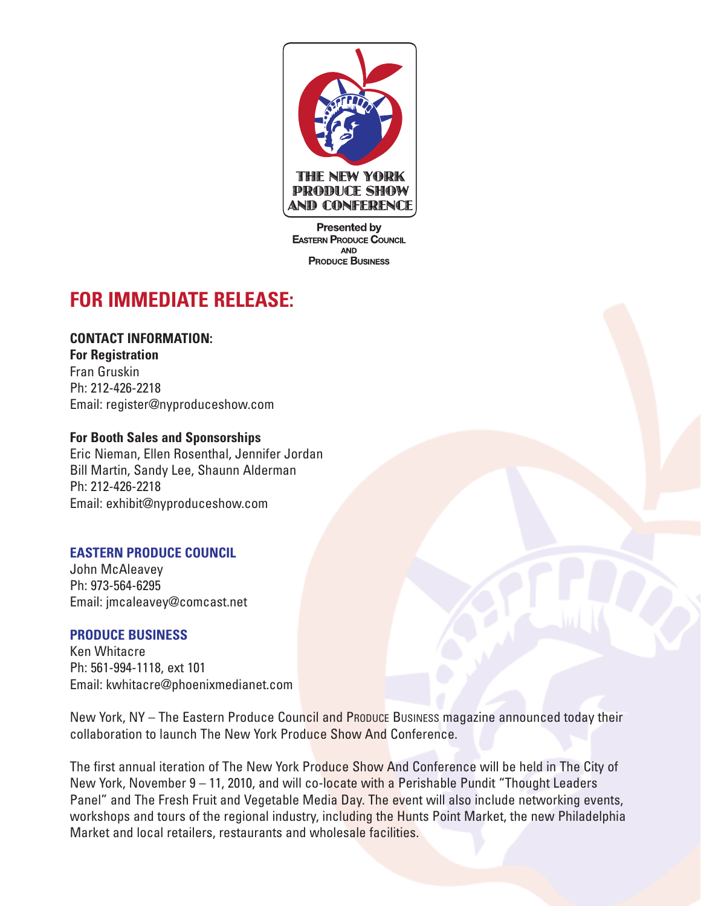

**Presented by EASTERN PRODUCE COUNCIL AND PRODUCE BUSINESS** 

# **FOR IMMEDIATE RELEASE:**

## **CONTACT INFORMATION:**

**For Registration** Fran Gruskin Ph: 212-426-2218 Email: register@nyproduceshow.com

## **For Booth Sales and Sponsorships**

Eric Nieman, Ellen Rosenthal, Jennifer Jordan Bill Martin, Sandy Lee, Shaunn Alderman Ph: 212-426-2218 Email: exhibit@nyproduceshow.com

## **EASTERN PRODUCE COUNCIL**

John McAleavey Ph: 973-564-6295 Email: jmcaleavey@comcast.net

## **PRODUCE BUSINESS**

Ken Whitacre Ph: 561-994-1118, ext 101 Email: kwhitacre@phoenixmedianet.com

New York, NY – The Eastern Produce Council and PRODUCE BUSINESS magazine announced today their collaboration to launch The New York Produce Show And Conference.

The first annual iteration of The New York Produce Show And Conference will be held in The City of New York, November 9 – 11, 2010, and will co-locate with a Perishable Pundit "Thought Leaders Panel" and The Fresh Fruit and Vegetable Media Day. The event will also include networking events, workshops and tours of the regional industry, including the Hunts Point Market, the new Philadelphia Market and local retailers, restaurants and wholesale facilities.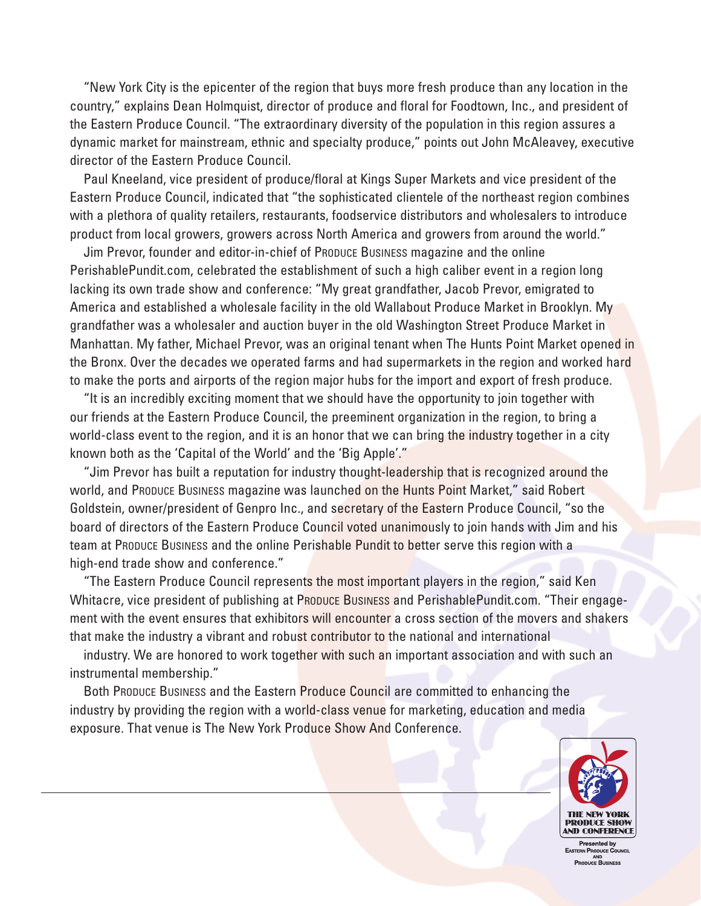"New York City is the epicenter of the region that buys more fresh produce than any location in the country," explains Dean Holmquist, director of produce and floral for Foodtown, Inc., and president of the Eastern Produce Council. "The extraordinary diversity of the population in this region assures a dynamic market for mainstream, ethnic and specialty produce," points out John McAleavey, executive director of the Eastern Produce Council.

Paul Kneeland, vice president of produce/floral at Kings Super Markets and vice president of the Eastern Produce Council, indicated that "the sophisticated clientele of the northeast region combines with a plethora of quality retailers, restaurants, foodservice distributors and wholesalers to introduce product from local growers, growers across North America and growers from around the world."

Jim Prevor, founder and editor-in-chief of PRODUCE BUSINESS magazine and the online PerishablePundit.com, celebrated the establishment of such a high caliber event in a region long lacking its own trade show and conference: "My great grandfather, Jacob Prevor, emigrated to America and established a wholesale facility in the old Wallabout Produce Market in Brooklyn. My grandfather was a wholesaler and auction buyer in the old Washington Street Produce Market in Manhattan. My father, Michael Prevor, was an original tenant when The Hunts Point Market opened in the Bronx. Over the decades we operated farms and had supermarkets in the region and worked hard to make the ports and airports of the region major hubs for the import and export of fresh produce.

"It is an incredibly exciting moment that we should have the opportunity to join together with our friends at the Eastern Produce Council, the preeminent organization in the region, to bring a world-class event to the region, and it is an honor that we can bring the industry together in a city known both as the 'Capital of the World' and the 'Big Apple'."

"Jim Prevor has built a reputation for industry thought-leadership that is recognized around the world, and PRODUCE BUSINESS magazine was launched on the Hunts Point Market," said Robert Goldstein, owner/president of Genpro Inc., and secretary of the Eastern Produce Council, "so the board of directors of the Eastern Produce Council voted unanimously to join hands with Jim and his team at PRODUCE BUSINESS and the online Perishable Pundit to better serve this region with a high-end trade show and conference."

"The Eastern Produce Council represents the most important players in the region," said Ken Whitacre, vice president of publishing at PRODUCE BUSINESS and PerishablePundit.com. "Their engagement with the event ensures that exhibitors will encounter a cross section of the movers and shakers that make the industry a vibrant and robust contributor to the national and international

industry. We are honored to work together with such an important association and with such an instrumental membership."

Both Produce Business and the Eastern Produce Council are committed to enhancing the industry by providing the region with a world-class venue for marketing, education and media exposure. That venue is The New York Produce Show And Conference.



esented by PRODUCE BUSINESS